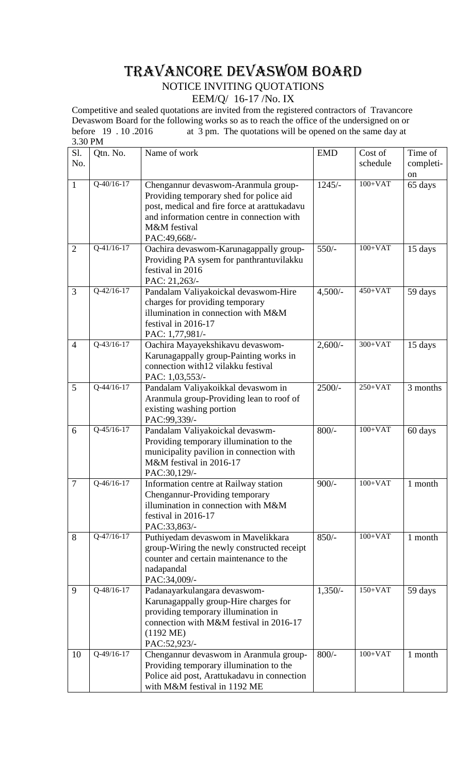# TRAVANCORE DEVASWOM BOARD

## NOTICE INVITING QUOTATIONS

### EEM/Q/ 16-17 /No. IX

Competitive and sealed quotations are invited from the registered contractors of Travancore Devaswom Board for the following works so as to reach the office of the undersigned on or before 19 . 10.2016 at 3 pm. The quotations will be opened on the same day at at  $3$  pm. The quotations will be opened on the same day at 3.30 PM

| Sl.            | Qtn. No.     | Name of work                                                                | <b>EMD</b> | Cost of   | Time of   |
|----------------|--------------|-----------------------------------------------------------------------------|------------|-----------|-----------|
| No.            |              |                                                                             |            | schedule  | completi- |
|                |              |                                                                             |            |           | on        |
| $\mathbf{1}$   | $Q-40/16-17$ | Chengannur devaswom-Aranmula group-                                         | $1245/-$   | $100+VAT$ | 65 days   |
|                |              | Providing temporary shed for police aid                                     |            |           |           |
|                |              | post, medical and fire force at arattukadavu                                |            |           |           |
|                |              | and information centre in connection with                                   |            |           |           |
|                |              | M&M festival                                                                |            |           |           |
|                |              | PAC:49,668/-                                                                |            |           |           |
| $\overline{2}$ | $Q-41/16-17$ | Oachira devaswom-Karunagappally group-                                      | $550/-$    | $100+VAT$ | 15 days   |
|                |              | Providing PA sysem for panthrantuvilakku                                    |            |           |           |
|                |              | festival in 2016                                                            |            |           |           |
|                |              | PAC: 21,263/-                                                               |            |           |           |
| 3              | $Q-42/16-17$ | Pandalam Valiyakoickal devaswom-Hire                                        | $4,500/-$  | $450+VAT$ | 59 days   |
|                |              | charges for providing temporary                                             |            |           |           |
|                |              | illumination in connection with M&M                                         |            |           |           |
|                |              | festival in 2016-17                                                         |            |           |           |
|                |              | PAC: 1,77,981/-                                                             |            |           |           |
| $\overline{4}$ | $Q-43/16-17$ | Oachira Mayayekshikavu devaswom-                                            | $2,600/-$  | $300+VAT$ | 15 days   |
|                |              | Karunagappally group-Painting works in                                      |            |           |           |
|                |              | connection with 12 vilakku festival                                         |            |           |           |
|                |              | PAC: 1,03,553/-                                                             |            |           |           |
| 5              | $Q-44/16-17$ | Pandalam Valiyakoikkal devaswom in                                          | $2500/-$   | $250+VAT$ | 3 months  |
|                |              | Aranmula group-Providing lean to roof of                                    |            |           |           |
|                |              | existing washing portion                                                    |            |           |           |
| 6              | $Q-45/16-17$ | PAC:99,339/-<br>Pandalam Valiyakoickal devaswm-                             | $800/-$    | $100+VAT$ | 60 days   |
|                |              | Providing temporary illumination to the                                     |            |           |           |
|                |              | municipality pavilion in connection with                                    |            |           |           |
|                |              | M&M festival in 2016-17                                                     |            |           |           |
|                |              | PAC:30,129/-                                                                |            |           |           |
| $\overline{7}$ | Q-46/16-17   | Information centre at Railway station                                       | $900/-$    | $100+VAT$ | 1 month   |
|                |              | Chengannur-Providing temporary                                              |            |           |           |
|                |              | illumination in connection with M&M                                         |            |           |           |
|                |              | festival in 2016-17                                                         |            |           |           |
|                |              | PAC:33,863/-                                                                |            |           |           |
| 8              | $Q-47/16-17$ | Puthiyedam devaswom in Mavelikkara                                          | $850/-$    | $100+VAT$ | 1 month   |
|                |              | group-Wiring the newly constructed receipt                                  |            |           |           |
|                |              | counter and certain maintenance to the                                      |            |           |           |
|                |              | nadapandal                                                                  |            |           |           |
|                |              | PAC:34,009/-                                                                |            |           |           |
| 9              | Q-48/16-17   | Padanayarkulangara devaswom-                                                | $1,350/-$  | $150+VAT$ | 59 days   |
|                |              | Karunagappally group-Hire charges for                                       |            |           |           |
|                |              | providing temporary illumination in                                         |            |           |           |
|                |              | connection with M&M festival in 2016-17                                     |            |           |           |
|                |              | $(1192 \text{ ME})$                                                         |            |           |           |
|                | Q-49/16-17   | PAC:52,923/-                                                                |            | $100+VAT$ |           |
| 10             |              | Chengannur devaswom in Aranmula group-                                      | $800/-$    |           | 1 month   |
|                |              | Providing temporary illumination to the                                     |            |           |           |
|                |              | Police aid post, Arattukadavu in connection<br>with M&M festival in 1192 ME |            |           |           |
|                |              |                                                                             |            |           |           |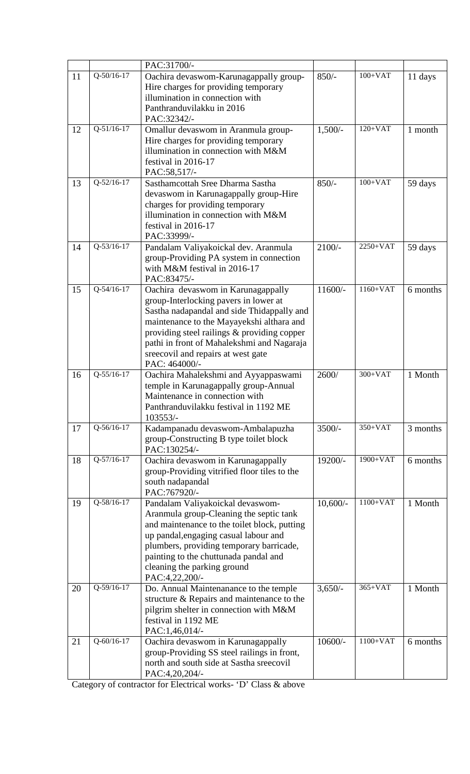|    |                  | PAC:31700/-                                                                       |            |            |          |
|----|------------------|-----------------------------------------------------------------------------------|------------|------------|----------|
| 11 | $Q-50/16-17$     | Oachira devaswom-Karunagappally group-                                            | $850/-$    | $100+VAT$  | 11 days  |
|    |                  | Hire charges for providing temporary                                              |            |            |          |
|    |                  | illumination in connection with                                                   |            |            |          |
|    |                  | Panthranduvilakku in 2016                                                         |            |            |          |
|    |                  | PAC:32342/-                                                                       |            |            |          |
| 12 | $Q-51/16-17$     | Omallur devaswom in Aranmula group-                                               | $1,500/-$  | $120+VAT$  | 1 month  |
|    |                  | Hire charges for providing temporary                                              |            |            |          |
|    |                  | illumination in connection with M&M                                               |            |            |          |
|    |                  | festival in 2016-17                                                               |            |            |          |
|    |                  | PAC:58,517/-                                                                      |            |            |          |
| 13 | $Q-52/16-17$     | Sasthamcottah Sree Dharma Sastha                                                  | $850/-$    | $100+VAT$  | 59 days  |
|    |                  | devaswom in Karunagappally group-Hire                                             |            |            |          |
|    |                  | charges for providing temporary                                                   |            |            |          |
|    |                  | illumination in connection with M&M                                               |            |            |          |
|    |                  | festival in 2016-17                                                               |            |            |          |
|    |                  | PAC:33999/-                                                                       |            | $2250+VAT$ |          |
| 14 | $Q-53/16-17$     | Pandalam Valiyakoickal dev. Aranmula                                              | $2100/-$   |            | 59 days  |
|    |                  | group-Providing PA system in connection                                           |            |            |          |
|    |                  | with M&M festival in 2016-17                                                      |            |            |          |
| 15 | $Q - 54/16 - 17$ | PAC:83475/-<br>Oachira devaswom in Karunagappally                                 | $11600/-$  | $1160+VAT$ | 6 months |
|    |                  | group-Interlocking pavers in lower at                                             |            |            |          |
|    |                  | Sastha nadapandal and side Thidappally and                                        |            |            |          |
|    |                  | maintenance to the Mayayekshi althara and                                         |            |            |          |
|    |                  | providing steel railings & providing copper                                       |            |            |          |
|    |                  | pathi in front of Mahalekshmi and Nagaraja                                        |            |            |          |
|    |                  | sreecovil and repairs at west gate                                                |            |            |          |
|    |                  | PAC: 464000/-                                                                     |            |            |          |
| 16 | $Q-55/16-17$     | Oachira Mahalekshmi and Ayyappaswami                                              | 2600/      | $300+VAT$  | 1 Month  |
|    |                  | temple in Karunagappally group-Annual                                             |            |            |          |
|    |                  | Maintenance in connection with                                                    |            |            |          |
|    |                  | Panthranduvilakku festival in 1192 ME                                             |            |            |          |
|    |                  | 103553/-                                                                          |            |            |          |
| 17 | Q-56/16-17       | Kadampanadu devaswom-Ambalapuzha                                                  | $3500/-$   | $350+VAT$  | 3 months |
|    |                  | group-Constructing B type toilet block                                            |            |            |          |
|    |                  | PAC:130254/-                                                                      |            |            |          |
| 18 | $Q-57/16-17$     | Oachira devaswom in Karunagappally                                                | 19200/-    | 1900+VAT   | 6 months |
|    |                  | group-Providing vitrified floor tiles to the                                      |            |            |          |
|    |                  | south nadapandal                                                                  |            |            |          |
|    |                  | PAC:767920/-                                                                      |            |            |          |
| 19 | Q-58/16-17       | Pandalam Valiyakoickal devaswom-                                                  | $10,600/-$ | $1100+VAT$ | 1 Month  |
|    |                  | Aranmula group-Cleaning the septic tank                                           |            |            |          |
|    |                  | and maintenance to the toilet block, putting                                      |            |            |          |
|    |                  | up pandal, engaging casual labour and<br>plumbers, providing temporary barricade, |            |            |          |
|    |                  | painting to the chuttunada pandal and                                             |            |            |          |
|    |                  | cleaning the parking ground                                                       |            |            |          |
|    |                  | PAC:4,22,200/-                                                                    |            |            |          |
| 20 | Q-59/16-17       | Do. Annual Maintenanance to the temple                                            | $3,650/-$  | $365+VAT$  | 1 Month  |
|    |                  | structure & Repairs and maintenance to the                                        |            |            |          |
|    |                  | pilgrim shelter in connection with M&M                                            |            |            |          |
|    |                  | festival in 1192 ME                                                               |            |            |          |
|    |                  |                                                                                   |            |            |          |
|    |                  | PAC:1,46,014/-                                                                    |            |            |          |
| 21 | $Q - 60/16 - 17$ | Oachira devaswom in Karunagappally                                                | $10600/-$  | $1100+VAT$ | 6 months |
|    |                  | group-Providing SS steel railings in front,                                       |            |            |          |
|    |                  | north and south side at Sastha sreecovil<br>PAC:4,20,204/-                        |            |            |          |

Category of contractor for Electrical works- 'D' Class & above